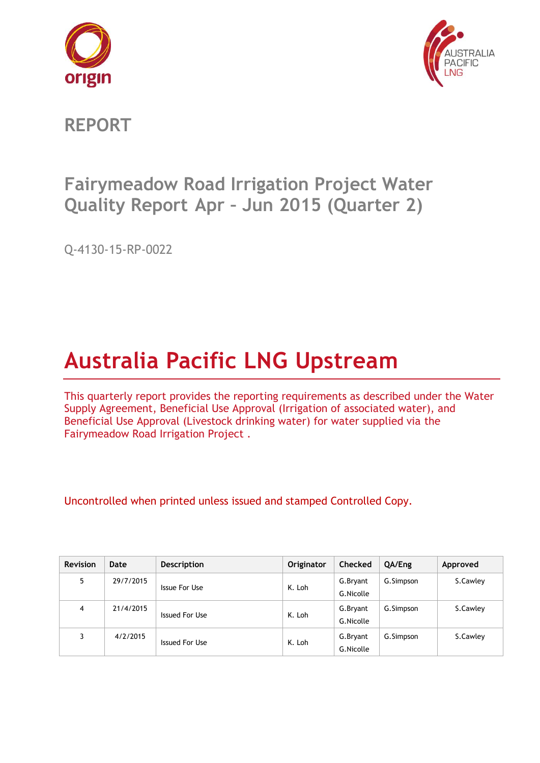



**REPORT**

# **Fairymeadow Road Irrigation Project Water Quality Report Apr – Jun 2015 (Quarter 2)**

Q-4130-15-RP-0022

# **Australia Pacific LNG Upstream**

This quarterly report provides the reporting requirements as described under the Water Supply Agreement, Beneficial Use Approval (Irrigation of associated water), and Beneficial Use Approval (Livestock drinking water) for water supplied via the Fairymeadow Road Irrigation Project .

| <b>Revision</b> | Date      | <b>Description</b> | Originator | <b>Checked</b> | QA/Eng    | Approved |
|-----------------|-----------|--------------------|------------|----------------|-----------|----------|
| 5               | 29/7/2015 | Issue For Use      | K. Loh     | G.Bryant       | G.Simpson | S.Cawley |
|                 |           |                    |            | G.Nicolle      |           |          |
| 4               | 21/4/2015 |                    |            | G.Bryant       | G.Simpson | S.Cawley |
|                 |           | Issued For Use     | K. Loh     | G.Nicolle      |           |          |
|                 | 4/2/2015  |                    |            | G.Bryant       | G.Simpson | S.Cawley |
|                 |           | Issued For Use     | K. Loh     | G.Nicolle      |           |          |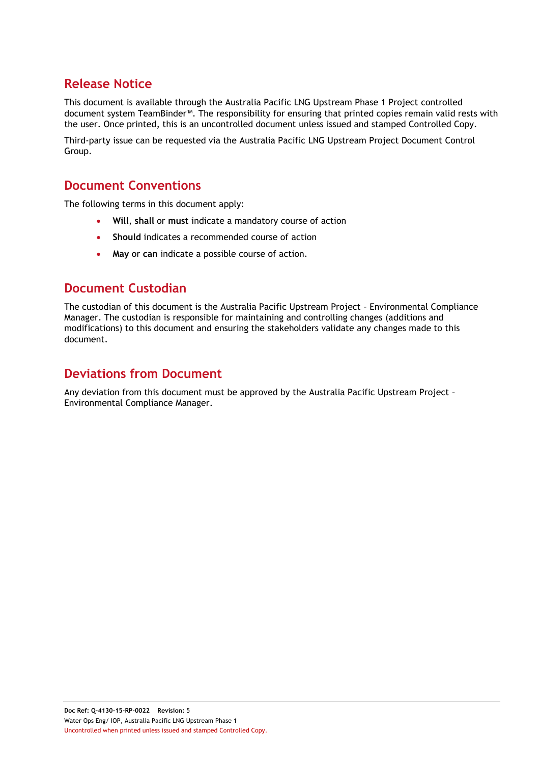# **Release Notice**

This document is available through the Australia Pacific LNG Upstream Phase 1 Project controlled document system TeamBinder™. The responsibility for ensuring that printed copies remain valid rests with the user. Once printed, this is an uncontrolled document unless issued and stamped Controlled Copy.

Third-party issue can be requested via the Australia Pacific LNG Upstream Project Document Control Group.

## **Document Conventions**

The following terms in this document apply:

- **Will**, **shall** or **must** indicate a mandatory course of action
- **Should** indicates a recommended course of action
- **May** or **can** indicate a possible course of action.

## **Document Custodian**

The custodian of this document is the Australia Pacific Upstream Project – Environmental Compliance Manager. The custodian is responsible for maintaining and controlling changes (additions and modifications) to this document and ensuring the stakeholders validate any changes made to this document.

# **Deviations from Document**

Any deviation from this document must be approved by the Australia Pacific Upstream Project – Environmental Compliance Manager.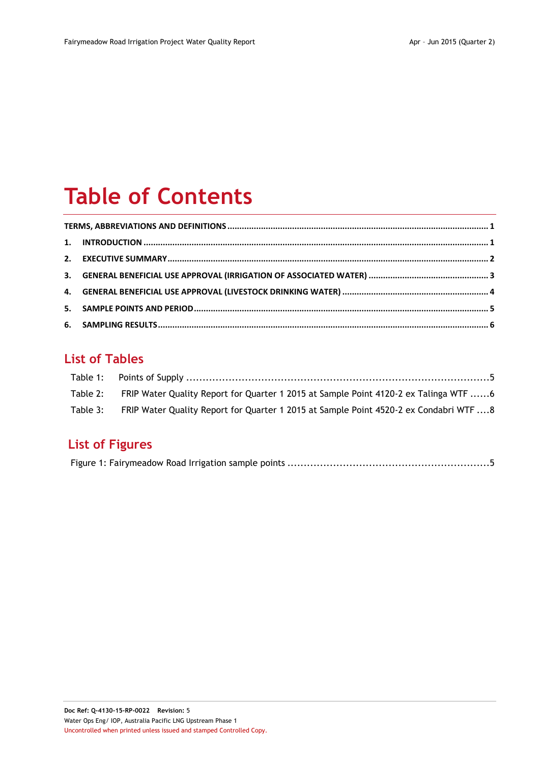# **Table of Contents**

# **List of Tables**

| Table 2: FRIP Water Quality Report for Quarter 1 2015 at Sample Point 4120-2 ex Talinga WTF 6   |  |
|-------------------------------------------------------------------------------------------------|--|
| Table 3: FRIP Water Quality Report for Quarter 1 2015 at Sample Point 4520-2 ex Condabri WTF  8 |  |

# **List of Figures**

|--|--|--|--|--|--|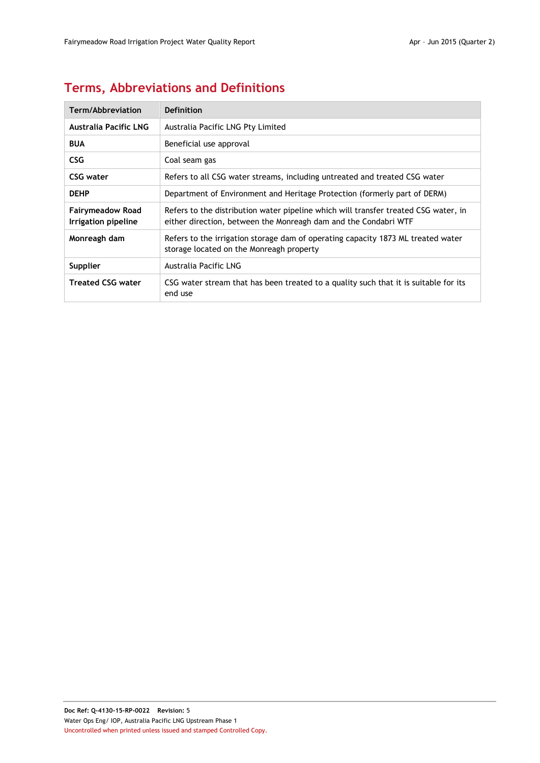# <span id="page-3-0"></span>**Terms, Abbreviations and Definitions**

| Term/Abbreviation                              | Definition                                                                                                                                             |
|------------------------------------------------|--------------------------------------------------------------------------------------------------------------------------------------------------------|
| Australia Pacific LNG                          | Australia Pacific LNG Pty Limited                                                                                                                      |
| <b>BUA</b>                                     | Beneficial use approval                                                                                                                                |
| <b>CSG</b>                                     | Coal seam gas                                                                                                                                          |
| CSG water                                      | Refers to all CSG water streams, including untreated and treated CSG water                                                                             |
| <b>DEHP</b>                                    | Department of Environment and Heritage Protection (formerly part of DERM)                                                                              |
| <b>Fairymeadow Road</b><br>Irrigation pipeline | Refers to the distribution water pipeline which will transfer treated CSG water, in<br>either direction, between the Monreagh dam and the Condabri WTF |
| Monreagh dam                                   | Refers to the irrigation storage dam of operating capacity 1873 ML treated water<br>storage located on the Monreagh property                           |
| Supplier                                       | Australia Pacific LNG                                                                                                                                  |
| <b>Treated CSG water</b>                       | CSG water stream that has been treated to a quality such that it is suitable for its<br>end use                                                        |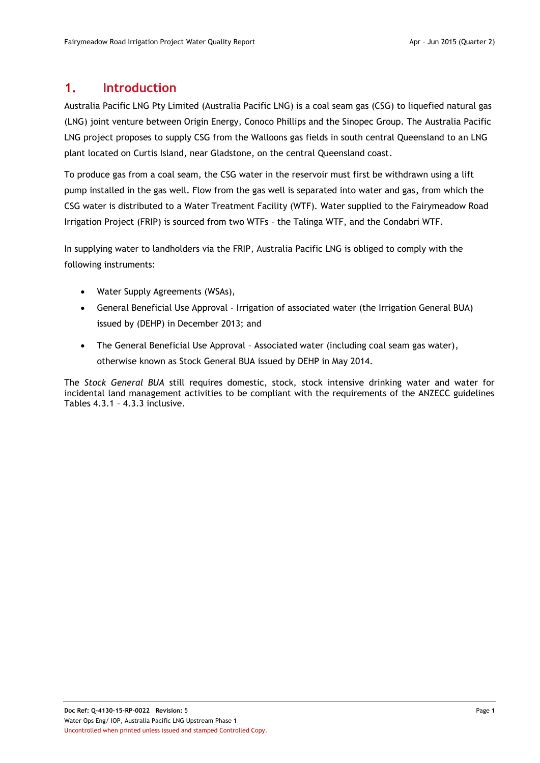### <span id="page-4-0"></span>**1. Introduction**

Australia Pacific LNG Pty Limited (Australia Pacific LNG) is a coal seam gas (CSG) to liquefied natural gas (LNG) joint venture between Origin Energy, Conoco Phillips and the Sinopec Group. The Australia Pacific LNG project proposes to supply CSG from the Walloons gas fields in south central Queensland to an LNG plant located on Curtis Island, near Gladstone, on the central Queensland coast.

To produce gas from a coal seam, the CSG water in the reservoir must first be withdrawn using a lift pump installed in the gas well. Flow from the gas well is separated into water and gas, from which the CSG water is distributed to a Water Treatment Facility (WTF). Water supplied to the Fairymeadow Road Irrigation Project (FRIP) is sourced from two WTFs – the Talinga WTF, and the Condabri WTF.

In supplying water to landholders via the FRIP, Australia Pacific LNG is obliged to comply with the following instruments:

- Water Supply Agreements (WSAs),
- General Beneficial Use Approval Irrigation of associated water (the Irrigation General BUA) issued by (DEHP) in December 2013; and
- The General Beneficial Use Approval Associated water (including coal seam gas water), otherwise known as Stock General BUA issued by DEHP in May 2014.

The *Stock General BUA* still requires domestic, stock, stock intensive drinking water and water for incidental land management activities to be compliant with the requirements of the ANZECC guidelines Tables 4.3.1 – 4.3.3 inclusive.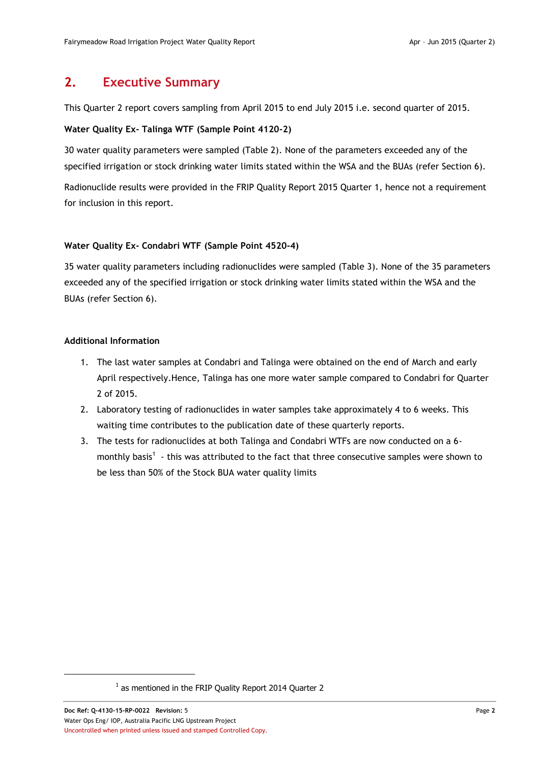## <span id="page-5-0"></span>**2. Executive Summary**

This Quarter 2 report covers sampling from April 2015 to end July 2015 i.e. second quarter of 2015.

#### **Water Quality Ex- Talinga WTF (Sample Point 4120-2)**

30 water quality parameters were sampled [\(Table 2\)](#page-9-1). None of the parameters exceeded any of the specified irrigation or stock drinking water limits stated within the WSA and the BUAs (refer Section [6\)](#page-9-0).

Radionuclide results were provided in the FRIP Quality Report 2015 Quarter 1, hence not a requirement for inclusion in this report.

#### **Water Quality Ex- Condabri WTF (Sample Point 4520-4)**

35 water quality parameters including radionuclides were sampled [\(Table 3\)](#page-11-0). None of the 35 parameters exceeded any of the specified irrigation or stock drinking water limits stated within the WSA and the BUAs (refer Section [6\)](#page-9-0).

#### **Additional Information**

- 1. The last water samples at Condabri and Talinga were obtained on the end of March and early April respectively.Hence, Talinga has one more water sample compared to Condabri for Quarter 2 of 2015.
- 2. Laboratory testing of radionuclides in water samples take approximately 4 to 6 weeks. This waiting time contributes to the publication date of these quarterly reports.
- 3. The tests for radionuclides at both Talinga and Condabri WTFs are now conducted on a 6 monthly basis<sup>1</sup> - this was attributed to the fact that three consecutive samples were shown to be less than 50% of the Stock BUA water quality limits

 $\overline{a}$ 

<sup>&</sup>lt;sup>1</sup> as mentioned in the FRIP Quality Report 2014 Quarter 2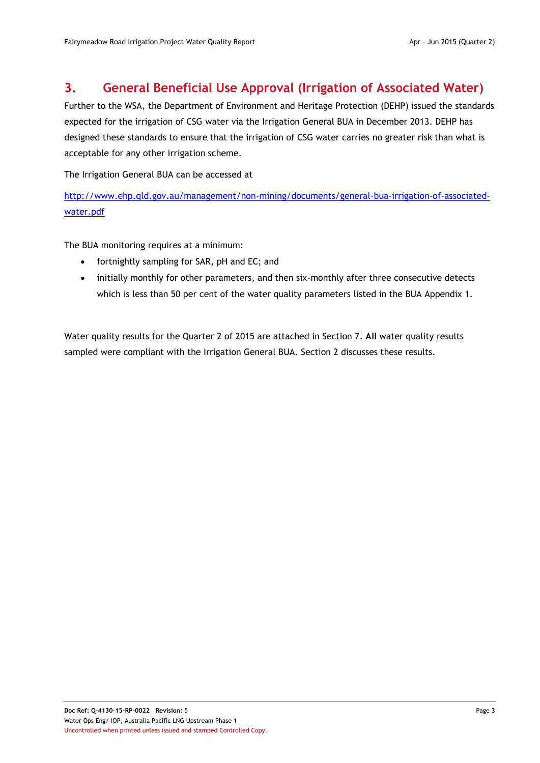## <span id="page-6-0"></span>**3. General Beneficial Use Approval (Irrigation of Associated Water)**

Further to the WSA, the Department of Environment and Heritage Protection (DEHP) issued the standards expected for the irrigation of CSG water via the Irrigation General BUA in December 2013. DEHP has designed these standards to ensure that the irrigation of CSG water carries no greater risk than what is acceptable for any other irrigation scheme.

The Irrigation General BUA can be accessed at

[http://www.ehp.qld.gov.au/management/non-mining/documents/general-bua-irrigation-of-associated](http://www.ehp.qld.gov.au/management/non-mining/documents/general-bua-irrigation-of-associated-water.pdf)[water.pdf](http://www.ehp.qld.gov.au/management/non-mining/documents/general-bua-irrigation-of-associated-water.pdf)

The BUA monitoring requires at a minimum:

- fortnightly sampling for SAR, pH and EC; and
- initially monthly for other parameters, and then six-monthly after three consecutive detects which is less than 50 per cent of the water quality parameters listed in the BUA Appendix 1.

Water quality results for the Quarter 2 of 2015 are attached in Section 7. **All** water quality results sampled were compliant with the Irrigation General BUA. Section [2](#page-5-0) discusses these results.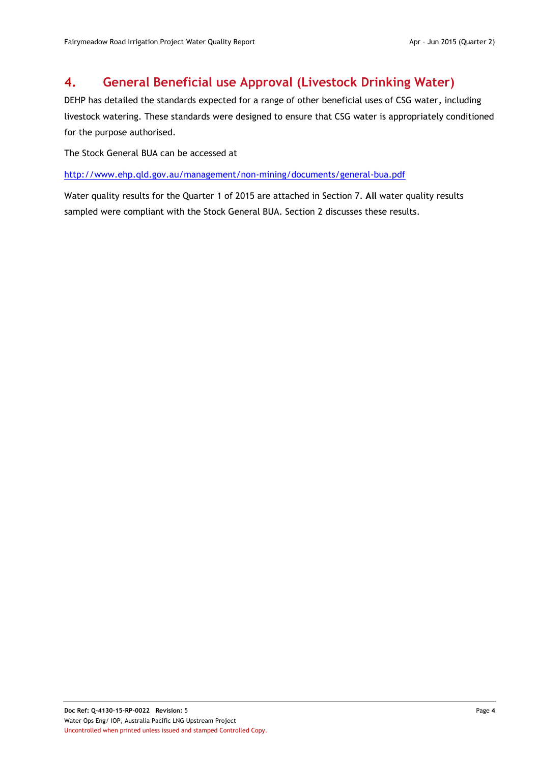# <span id="page-7-0"></span>**4. General Beneficial use Approval (Livestock Drinking Water)**

DEHP has detailed the standards expected for a range of other beneficial uses of CSG water, including livestock watering. These standards were designed to ensure that CSG water is appropriately conditioned for the purpose authorised.

The Stock General BUA can be accessed at

<http://www.ehp.qld.gov.au/management/non-mining/documents/general-bua.pdf>

Water quality results for the Quarter 1 of 2015 are attached in Section 7. **All** water quality results sampled were compliant with the Stock General BUA. Section [2](#page-5-0) discusses these results.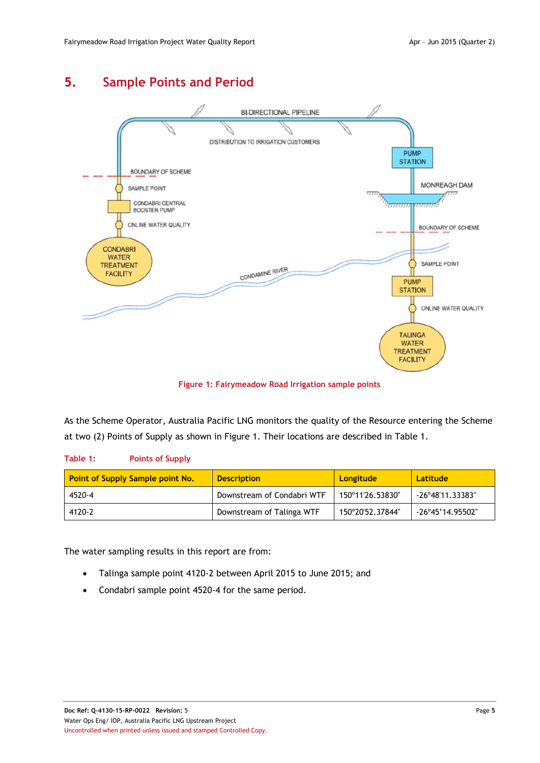# <span id="page-8-0"></span>**5. Sample Points and Period**



**Figure 1: Fairymeadow Road Irrigation sample points**

<span id="page-8-2"></span>As the Scheme Operator, Australia Pacific LNG monitors the quality of the Resource entering the Scheme at two (2) Points of Supply as shown in [Figure 1.](#page-8-2) Their locations are described in [Table 1.](#page-8-1)

#### <span id="page-8-1"></span>**Table 1: Points of Supply**

| Point of Supply Sample point No. | <b>Description</b>         | <b>Longitude</b> | Latitude                  |
|----------------------------------|----------------------------|------------------|---------------------------|
| 4520-4                           | Downstream of Condabri WTF | 150°11'26.53830" | $-26^{\circ}48'11.33383"$ |
| 4120-2                           | Downstream of Talinga WTF  | 150°20'52.37844" | $-26^{\circ}45'14.95502"$ |

The water sampling results in this report are from:

- Talinga sample point 4120-2 between April 2015 to June 2015; and
- Condabri sample point 4520-4 for the same period.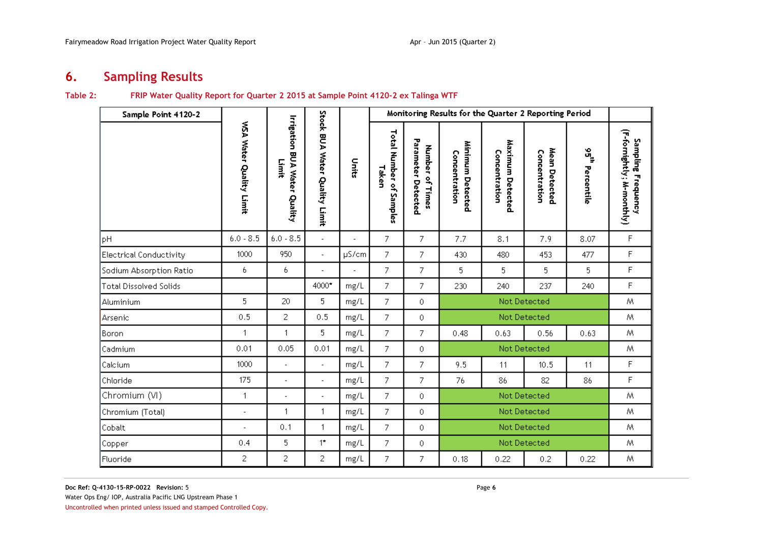# **6. Sampling Results**

#### **Table 2: FRIP Water Quality Report for Quarter 2 2015 at Sample Point 4120-2 ex Talinga WTF**

<span id="page-9-1"></span><span id="page-9-0"></span>

| Sample Point 4120-2            |                          |                                              |                               |                | Monitoring Results for the Quarter 2 Reporting Period |                                          |                                   |                                   |                                |                    |                                                 |  |  |
|--------------------------------|--------------------------|----------------------------------------------|-------------------------------|----------------|-------------------------------------------------------|------------------------------------------|-----------------------------------|-----------------------------------|--------------------------------|--------------------|-------------------------------------------------|--|--|
|                                | WSA Water Quality Limit  | <b>Irrigation BUA Water Quality</b><br>Limit | Stock BUA Water Quality Limit | uits           | Total Number of<br>Taken<br>Samples                   | Parameter<br>Number of Times<br>Detected | Minimum Detected<br>Concentration | Maximum Detected<br>Concentration | Mean Detected<br>Concentration | ង្នុ<br>Percentile | (F-fornightly; M-monthly)<br>Sampling Frequency |  |  |
| pH                             | $6.0 - 8.5$              | $6.0 - 8.5$                                  | $\blacksquare$                | $\overline{a}$ | 7                                                     | 7                                        | 7.7                               | 8.1                               | 7.9                            | 8.07               | $\mathsf F$                                     |  |  |
| <b>Electrical Conductivity</b> | 1000                     | 950                                          | $\overline{\phantom{a}}$      | µS/cm          | 7                                                     | 7                                        | 430                               | 480                               | 453                            | 477                | F                                               |  |  |
| Sodium Absorption Ratio        | 6                        | 6                                            | $\overline{a}$                | $\blacksquare$ | 7                                                     | 7                                        | 5                                 | 5.                                | 5                              | 5                  | F                                               |  |  |
| <b>Total Dissolved Solids</b>  |                          |                                              | 4000*                         | mg/L           | 7                                                     | 7                                        | 230                               | 240                               | 237                            | 240                | F                                               |  |  |
| Aluminium                      | 5                        | 20                                           | 5                             | mg/L           | 7                                                     | $\Omega$                                 | Not Detected                      |                                   |                                |                    | M.                                              |  |  |
| Arsenic                        | 0.5                      | $\overline{c}$                               | 0.5                           | mg/L           | 7                                                     | $\mathbf 0$                              |                                   |                                   | Not Detected                   |                    | M                                               |  |  |
| Boron                          | $\mathbf{1}$             | 1                                            | 5                             | mg/L           | 7                                                     | 7                                        | 0.48                              | 0.63                              | 0.56                           | 0.63               | Μ                                               |  |  |
| Cadmium                        | 0.01                     | 0.05                                         | 0.01                          | mg/L           | 7                                                     | 0                                        |                                   |                                   | Not Detected                   |                    | Μ                                               |  |  |
| Calcium                        | 1000                     | $\blacksquare$                               | $\blacksquare$                | mg/L           | 7                                                     | 7                                        | 9.5                               | 11                                | 10.5                           | 11                 | F                                               |  |  |
| Chloride                       | 175                      | $\overline{a}$                               | $\overline{\phantom{a}}$      | mg/L           | 7                                                     | 7                                        | 76                                | 86                                | 82                             | 86                 | F                                               |  |  |
| Chromium (VI)                  | $\mathbf{1}$             | $\overline{\phantom{a}}$                     | $\overline{a}$                | mg/L           | 7                                                     | $\mathbf 0$                              |                                   |                                   | Not Detected                   |                    | Μ                                               |  |  |
| Chromium (Total)               | ÷,                       | 1                                            | $\mathbf{1}$                  | mg/L           | 7                                                     | $\circ$                                  |                                   |                                   | Not Detected                   |                    | Μ                                               |  |  |
| Cobalt                         | $\overline{\phantom{a}}$ | 0.1                                          | 1                             | mg/L           | 7                                                     | 0                                        |                                   |                                   | Not Detected                   |                    | M                                               |  |  |
| Copper                         | 0.4                      | 5                                            | $1^{\star}$                   | $mg/L$         | 7                                                     | $\theta$                                 |                                   |                                   | Not Detected                   |                    | Μ                                               |  |  |
| Fluoride                       | 2                        | 2                                            | 2                             | mg/L           | 7                                                     | 7                                        | 0.18                              | 0.22                              | 0.2                            | 0.22               | Μ                                               |  |  |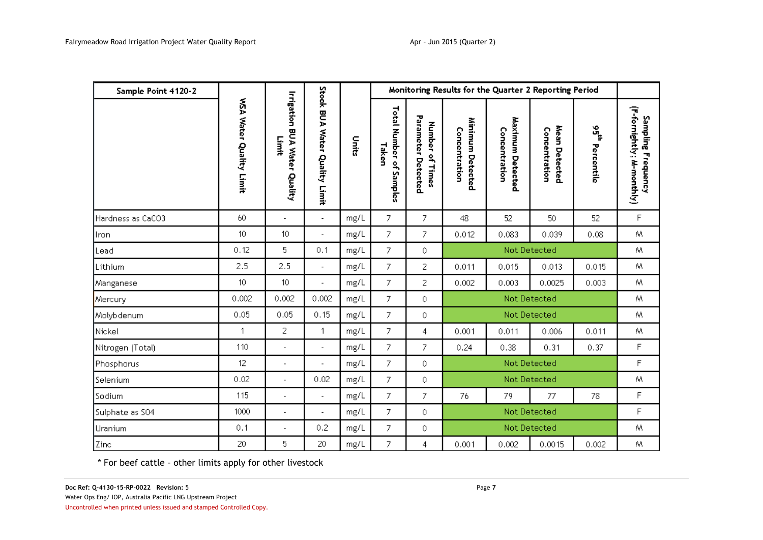| Sample Point 4120-2 |                         |                                              |                               |       |                                  |                                          | Monitoring Results for the Quarter 2 Reporting Period |                                   |                                |                   |                                                 |
|---------------------|-------------------------|----------------------------------------------|-------------------------------|-------|----------------------------------|------------------------------------------|-------------------------------------------------------|-----------------------------------|--------------------------------|-------------------|-------------------------------------------------|
|                     | WSA Water Quality Limit | <b>Irrigation BUA Water Quality</b><br>Limit | Stock BUA Water Quality Limit | Units | Total Number of Samples<br>Taken | Parameter<br>Number of Times<br>Detected | Minimum Detected<br>Concentration                     | Maximum Detected<br>Concentration | Mean Detected<br>Concentration | ៲៓៓<br>Percentile | (F-fornightly; M-monthly)<br>Sampling Frequency |
| Hardness as CaCO3   | 60                      | $\overline{\phantom{a}}$                     | $\blacksquare$                | mg/L  | 7                                | 7                                        | 48                                                    | 52                                | 50                             | 52                | F                                               |
| Iron                | 10 <sup>10</sup>        | 10                                           | $\overline{\phantom{a}}$      | mg/L  | $\overline{7}$                   | 7                                        | 0.012                                                 | 0.083                             | 0.039                          | 0.08              | M                                               |
| Lead                | 0.12                    | 5                                            | 0.1                           | mg/L  | 7                                | 0                                        | Not Detected                                          |                                   |                                |                   | M                                               |
| Lithium             | 2.5                     | 2.5                                          | $\overline{\phantom{a}}$      | mg/L  | 7                                | 2                                        | 0.011                                                 | 0.015                             | 0.013                          | 0.015             | M.                                              |
| Manganese           | 10 <sup>°</sup>         | 10                                           | $\overline{a}$                | mg/L  | 7                                | 2                                        | 0.002                                                 | 0.003                             | 0.0025                         | 0.003             | Μ                                               |
| Mercury             | 0.002                   | 0.002                                        | 0.002                         | mg/L  | 7                                | 0                                        |                                                       |                                   | Not Detected                   |                   | M                                               |
| Molybdenum          | 0.05                    | 0.05                                         | 0.15                          | mg/L  | 7                                | 0                                        |                                                       |                                   | Not Detected                   |                   | Μ                                               |
| Nickel              | 1                       | 2                                            | $\mathbf{1}$                  | mg/L  | 7                                | 4                                        | 0.001                                                 | 0.011                             | 0.006                          | 0.011             | Μ                                               |
| Nitrogen (Total)    | 110                     | ÷,                                           | $\overline{\phantom{a}}$      | mg/L  | 7                                | 7                                        | 0.24                                                  | 0.38                              | 0.31                           | 0.37              | F                                               |
| Phosphorus          | 12                      | ÷,                                           |                               | mg/L  | 7                                | 0                                        |                                                       |                                   | Not Detected                   |                   | F                                               |
| Selenium            | 0.02                    | ÷,                                           | 0.02                          | mg/L  | 7                                | 0                                        |                                                       |                                   | Not Detected                   |                   | Μ                                               |
| Sodium              | 115                     | ÷,                                           | $\overline{\phantom{a}}$      | mg/L  | 7                                | 7                                        | 76                                                    | 79                                | 77                             | 78                | F                                               |
| Sulphate as SO4     | 1000                    | ÷,                                           | $\overline{a}$                | mg/L  | 7                                | 0                                        |                                                       |                                   | Not Detected                   |                   | F                                               |
| Uranium             | 0.1                     | ÷.                                           | 0.2                           | mg/L  | 7                                | 0                                        |                                                       |                                   | Not Detected                   |                   | Μ                                               |
| Zinc                | 20                      | 5                                            | 20                            | mg/L  | 7                                | 4                                        | 0.001                                                 | 0.002                             | 0.0015                         | 0.002             | Μ                                               |

\* For beef cattle – other limits apply for other livestock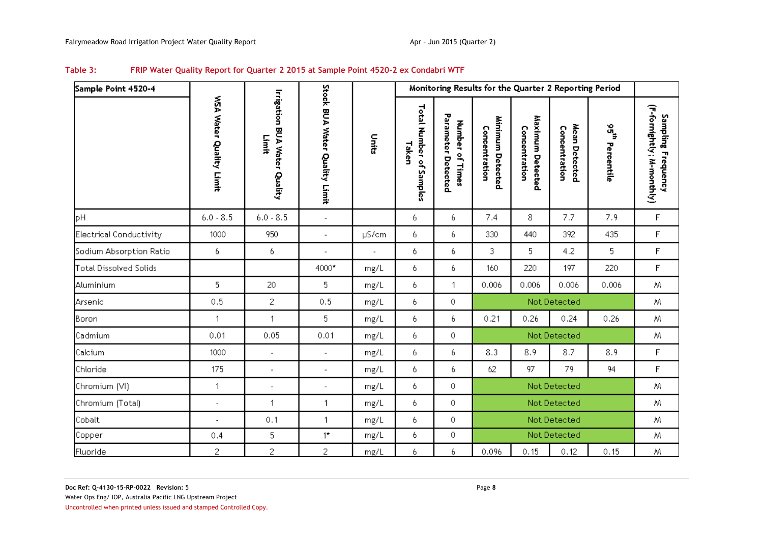<span id="page-11-0"></span>

| Sample Point 4520-4            |                          |                                              |                               |                          | Monitoring Results for the Quarter 2 Reporting Period |                                          |                                   |                                   |                                |                             |                                                 |  |
|--------------------------------|--------------------------|----------------------------------------------|-------------------------------|--------------------------|-------------------------------------------------------|------------------------------------------|-----------------------------------|-----------------------------------|--------------------------------|-----------------------------|-------------------------------------------------|--|
|                                | WSA Water Quality Limit  | <b>Irrigation BUA Water Quality</b><br>Limit | Stock BUA Water Quality Limit | linits                   | Total Number of Samples<br>Taken                      | Parameter Detected<br>Number<br>of Times | Minimum Detected<br>Concentration | Maximum Detected<br>Concentration | Mean Detected<br>Concentration | $\frac{1}{2}$<br>Percentile | (F-fornightly; M-monthly)<br>Sampling Frequency |  |
| pH                             | $6.0 - 8.5$              | $6.0 - 8.5$                                  | $\blacksquare$                |                          | 6                                                     | 6                                        | 7.4                               | 8                                 | 7.7                            | 7.9                         | F                                               |  |
| <b>Electrical Conductivity</b> | 1000                     | 950                                          | $\overline{a}$                | µS/cm                    | 6                                                     | 6.                                       | 330                               | 440                               | 392                            | 435                         | F                                               |  |
| Sodium Absorption Ratio        | 6                        | 6                                            | $\overline{a}$                | $\overline{\phantom{a}}$ | 6                                                     | 6                                        | 3                                 | 5                                 | 4.2                            | 5                           | F                                               |  |
| <b>Total Dissolved Solids</b>  |                          |                                              | 4000*                         | mg/L                     | 6                                                     | 6.                                       | 160                               | 220                               | 197                            | 220                         | F                                               |  |
| Aluminium                      | 5                        | 20                                           | 5                             | mg/L                     | 6                                                     | $\mathbf{1}$                             | 0.006                             | 0.006                             | 0.006                          | 0.006                       | M                                               |  |
| Arsenic                        | 0.5                      | 2                                            | 0.5                           | mg/L                     | 6                                                     | $\bullet$                                |                                   |                                   | Not Detected                   |                             | M                                               |  |
| Boron                          | 1                        | $\mathbf{1}$                                 | 5                             | mg/L                     | 6                                                     | 6.                                       | 0.21                              | 0.26                              | 0.24                           | 0.26                        | Μ                                               |  |
| Cadmium                        | 0.01                     | 0.05                                         | 0.01                          | mg/L                     | 6                                                     | $\bullet$                                |                                   |                                   | Not Detected                   |                             | M                                               |  |
| Calcium                        | 1000                     | $\blacksquare$                               | $\overline{a}$                | mg/L                     | 6                                                     | 6.                                       | 8.3                               | 8.9                               | 8.7                            | 8.9                         | F                                               |  |
| Chloride                       | 175                      | $\overline{\phantom{a}}$                     | $\overline{\phantom{a}}$      | mg/L                     | 6                                                     | 6                                        | 62                                | 97                                | 79                             | 94                          | F                                               |  |
| Chromium (VI)                  | 1                        | ä,                                           | L,                            | mg/L                     | 6                                                     | $\bullet$                                |                                   |                                   | Not Detected                   |                             | Μ                                               |  |
| Chromium (Total)               | $\overline{a}$           | $\mathbf{1}$                                 | 1                             | mg/L                     | 6                                                     | 0                                        |                                   |                                   | Not Detected                   |                             | M                                               |  |
| Cobalt                         | $\overline{\phantom{a}}$ | 0.1                                          | $\mathbf{1}$                  | mg/L                     | 6                                                     | $\circ$                                  |                                   |                                   | Not Detected                   |                             | M                                               |  |
| Copper                         | 0.4                      | 5                                            | $1^{\star}$                   | mg/L                     | 6                                                     | $\circ$                                  |                                   |                                   | Not Detected                   |                             | Μ                                               |  |
| Fluoride                       | $\overline{c}$           | 2                                            | 2                             | mg/L                     | 6                                                     | 6                                        | 0.096                             | 0.15                              | 0.12                           | 0.15                        | Μ                                               |  |

#### **Table 3: FRIP Water Quality Report for Quarter 2 2015 at Sample Point 4520-2 ex Condabri WTF**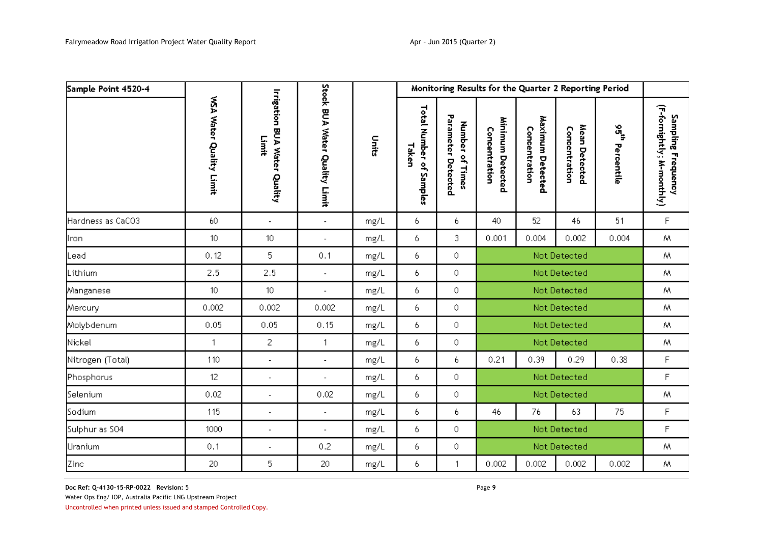| Sample Point 4520-4 |                         |                                              |                               |       | Monitoring Results for the Quarter 2 Reporting Period |                                                 |                                   |                                   |                                |                             |                                                 |
|---------------------|-------------------------|----------------------------------------------|-------------------------------|-------|-------------------------------------------------------|-------------------------------------------------|-----------------------------------|-----------------------------------|--------------------------------|-----------------------------|-------------------------------------------------|
|                     | WSA Water Quality Limit | <b>Irrigation BUA Water Quality</b><br>Limit | Stock BUA Water Quality Limit | Units | Total Number of Samples<br>Taken                      | Parameter Detected<br><b>Number</b><br>of Times | Minimum Detected<br>Concentration | Maximum Detected<br>Concentration | Mean Detected<br>Concentration | $\frac{1}{2}$<br>Percentile | (F-fornightly; M-monthly)<br>Sampling Frequency |
| Hardness as CaCO3   | 60                      | $\overline{\phantom{a}}$                     | $\overline{\phantom{a}}$      | mg/L  | 6                                                     | 6.                                              | 40                                | 52                                | 46                             | 51                          | F                                               |
| Iron                | 10 <sup>°</sup>         | 10 <sup>°</sup>                              | ÷,                            | mg/L  | 6                                                     | 3                                               | 0.001                             | 0.004                             | 0.002                          | 0.004                       | Μ                                               |
| Lead                | 0.12                    | 5                                            | 0.1                           | mg/L  | 6                                                     | 0                                               | Not Detected                      |                                   |                                |                             | Μ                                               |
| Lithium             | 2.5                     | 2.5                                          | $\overline{a}$                | mg/L  | 6                                                     | 0                                               | Not Detected                      |                                   |                                |                             | Μ                                               |
| Manganese           | 10 <sub>1</sub>         | 10 <sup>°</sup>                              | $\overline{a}$                | mg/L  | 6                                                     | $\bullet$                                       | Not Detected                      |                                   |                                | Μ                           |                                                 |
| Mercury             | 0.002                   | 0.002                                        | 0.002                         | mg/L  | 6                                                     | 0                                               |                                   |                                   | Not Detected                   |                             | Μ                                               |
| Molybdenum          | 0.05                    | 0.05                                         | 0.15                          | mg/L  | 6                                                     | 0                                               |                                   |                                   | Not Detected                   |                             | Μ                                               |
| Nickel              | 1                       | $\overline{c}$                               | $\mathbf{1}$                  | mg/L  | 6                                                     | $\circ$                                         |                                   |                                   | Not Detected                   |                             | M                                               |
| Nitrogen (Total)    | 110                     | $\overline{\phantom{a}}$                     | $\overline{a}$                | mg/L  | 6                                                     | 6.                                              | 0.21                              | 0.39                              | 0.29                           | 0.38                        | F                                               |
| Phosphorus          | 12                      | $\overline{\phantom{a}}$                     | $\overline{\phantom{a}}$      | mg/L  | 6                                                     | 0                                               |                                   |                                   | Not Detected                   |                             | F                                               |
| Selenium            | 0.02                    | $\overline{\phantom{a}}$                     | 0.02                          | mg/L  | 6                                                     | $\circ$                                         |                                   |                                   | Not Detected                   |                             | Μ                                               |
| Sodium              | 115                     | $\overline{\phantom{a}}$                     | $\overline{\phantom{a}}$      | mg/L  | 6                                                     | 6.                                              | 46                                | 76                                | 63                             | 75                          | F                                               |
| Sulphur as S04      | 1000                    | $\overline{\phantom{a}}$                     | $\overline{a}$                | mg/L  | 6                                                     | 0                                               |                                   |                                   | Not Detected                   |                             | F                                               |
| Uranium             | 0.1                     | $\overline{\phantom{a}}$                     | 0.2                           | mg/L  | 6                                                     | $\bullet$                                       |                                   |                                   | Not Detected                   |                             | M                                               |
| Zinc                | 20                      | 5                                            | 20                            | mg/L  | 6                                                     |                                                 | 0.002                             | 0.002                             | 0.002                          | 0.002                       | Μ                                               |

**Doc Ref: Q-4130-15-RP-0022 Revision:** 5 Page **9**

Water Ops Eng/ IOP, Australia Pacific LNG Upstream Project